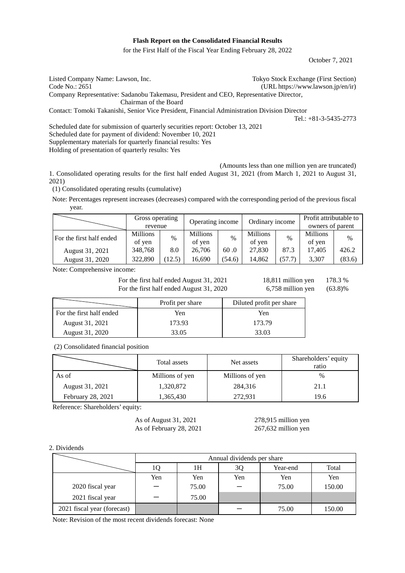# **Flash Report on the Consolidated Financial Results**

for the First Half of the Fiscal Year Ending February 28, 2022

October 7, 2021

Listed Company Name: Lawson, Inc. Tokyo Stock Exchange (First Section) Code No.: 2651 (URL https://www.lawson.jp/en/ir) Company Representative: Sadanobu Takemasu, President and CEO, Representative Director, Chairman of the Board Contact: Tomoki Takanishi, Senior Vice President, Financial Administration Division Director Tel.: +81-3-5435-2773 Scheduled date for submission of quarterly securities report: October 13, 2021

Scheduled date for payment of dividend: November 10, 2021 Supplementary materials for quarterly financial results: Yes Holding of presentation of quarterly results: Yes

(Amounts less than one million yen are truncated)

1. Consolidated operating results for the first half ended August 31, 2021 (from March 1, 2021 to August 31, 2021)

(1) Consolidated operating results (cumulative)

Note: Percentages represent increases (decreases) compared with the corresponding period of the previous fiscal year.

|                          | Gross operating<br>revenue |        | Operating income   |        | Ordinary income    |        | Profit attributable to<br>owners of parent |        |
|--------------------------|----------------------------|--------|--------------------|--------|--------------------|--------|--------------------------------------------|--------|
| For the first half ended | <b>Millions</b><br>of yen  | $\%$   | Millions<br>of yen | $\%$   | Millions<br>of yen | $\%$   | <b>Millions</b><br>of yen                  | $\%$   |
| August 31, 2021          | 348,768                    | 8.0    | 26,706             | 60.0   | 27,830             | 87.3   | 17,405                                     | 426.2  |
| August 31, 2020          | 322,890                    | (12.5) | 16.690             | (54.6) | 14.862             | (57.7) | 3,307                                      | (83.6) |

Note: Comprehensive income:

For the first half ended August 31, 2021 18,811 million yen 178.3 % For the first half ended August 31, 2020  $6,758$  million y

| $(63.8)\%$<br>/en |
|-------------------|
|-------------------|

|                          | Profit per share | Diluted profit per share |
|--------------------------|------------------|--------------------------|
| For the first half ended | Yen              | Yen                      |
| August 31, 2021          | 173.93           | 173.79                   |
| August 31, 2020          | 33.05            | 33.03                    |

(2) Consolidated financial position

|                   | Total assets    | Net assets      | Shareholders' equity<br>ratio |
|-------------------|-----------------|-----------------|-------------------------------|
| As of             | Millions of yen | Millions of yen | $\%$                          |
| August 31, 2021   | 1,320,872       | 284,316         | 21.1                          |
| February 28, 2021 | 1,365,430       | 272,931         | 19.6                          |

Reference: Shareholders' equity:

As of August 31, 2021 278,915 million yen As of February 28, 2021 267,632 million yen

2. Dividends

|                             |     | Annual dividends per share |     |          |        |  |  |  |
|-----------------------------|-----|----------------------------|-----|----------|--------|--|--|--|
|                             |     | 1Н                         | 3Q  | Year-end | Total  |  |  |  |
|                             | Yen | Yen                        | Yen | Yen      | Yen    |  |  |  |
| 2020 fiscal year            |     | 75.00                      |     | 75.00    | 150.00 |  |  |  |
| 2021 fiscal year            |     | 75.00                      |     |          |        |  |  |  |
| 2021 fiscal year (forecast) |     |                            |     | 75.00    | 150.00 |  |  |  |

Note: Revision of the most recent dividends forecast: None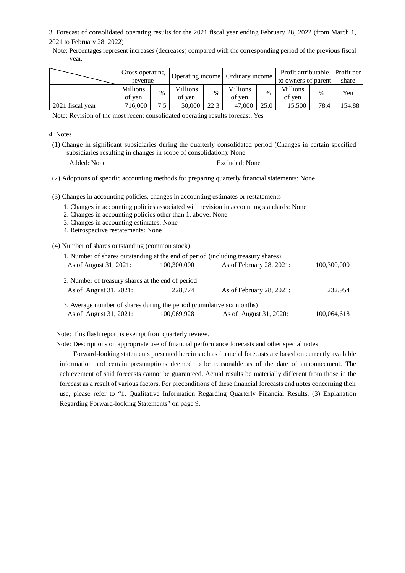3. Forecast of consolidated operating results for the 2021 fiscal year ending February 28, 2022 (from March 1, 2021 to February 28, 2022)

Note: Percentages represent increases (decreases) compared with the corresponding period of the previous fiscal year.

|                  | Gross operating<br>revenue |      | Operating income   Ordinary income |      |                           |      | Profit attributable<br>to owners of parent |               | Profit per<br>share |
|------------------|----------------------------|------|------------------------------------|------|---------------------------|------|--------------------------------------------|---------------|---------------------|
|                  | <b>Millions</b><br>of ven  | $\%$ | <b>Millions</b><br>of ven          | $\%$ | <b>Millions</b><br>of yen | $\%$ | <b>Millions</b><br>of ven                  | $\frac{0}{0}$ | Yen                 |
| 2021 fiscal year | 716,000                    | 75   | 50,000                             | 22.3 | 47,000                    | 25.0 | 15.500                                     | 78.4          | 154.88              |

Note: Revision of the most recent consolidated operating results forecast: Yes

# 4. Notes

- (1) Change in significant subsidiaries during the quarterly consolidated period (Changes in certain specified subsidiaries resulting in changes in scope of consolidation): None
	-

Added: None Excluded: None

(2) Adoptions of specific accounting methods for preparing quarterly financial statements: None

(3) Changes in accounting policies, changes in accounting estimates or restatements

- 1. Changes in accounting policies associated with revision in accounting standards: None
- 2. Changes in accounting policies other than 1. above: None
- 3. Changes in accounting estimates: None
- 4. Retrospective restatements: None

(4) Number of shares outstanding (common stock)

| 1. Number of shares outstanding at the end of period (including treasury shares) |             |                          |             |
|----------------------------------------------------------------------------------|-------------|--------------------------|-------------|
| As of August 31, 2021:                                                           | 100,300,000 | As of February 28, 2021: | 100,300,000 |
| 2. Number of treasury shares at the end of period                                |             |                          |             |
| As of August 31, 2021:                                                           | 228,774     | As of February 28, 2021: | 232,954     |
| 3. Average number of shares during the period (cumulative six months)            |             |                          |             |
| As of August 31, 2021:                                                           | 100,069,928 | As of August 31, 2020:   | 100,064,618 |

Note: This flash report is exempt from quarterly review.

Note: Descriptions on appropriate use of financial performance forecasts and other special notes

Forward-looking statements presented herein such as financial forecasts are based on currently available information and certain presumptions deemed to be reasonable as of the date of announcement. The achievement of said forecasts cannot be guaranteed. Actual results be materially different from those in the forecast as a result of various factors. For preconditions of these financial forecasts and notes concerning their use, please refer to "1. Qualitative Information Regarding Quarterly Financial Results, (3) Explanation Regarding Forward-looking Statements" on page 9.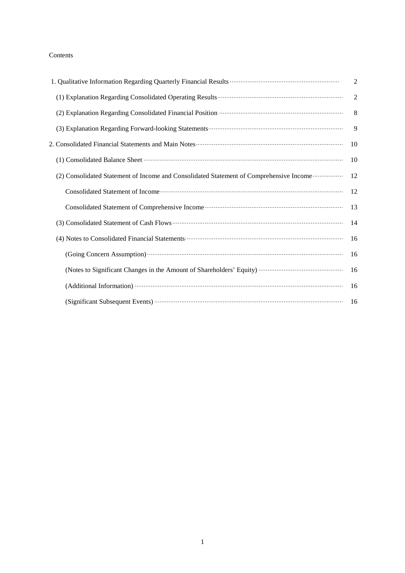# Contents

|                                                                                         | 2              |
|-----------------------------------------------------------------------------------------|----------------|
|                                                                                         | $\overline{2}$ |
|                                                                                         | 8              |
|                                                                                         | 9              |
|                                                                                         | 10             |
|                                                                                         | 10             |
| (2) Consolidated Statement of Income and Consolidated Statement of Comprehensive Income | 12             |
|                                                                                         | 12             |
|                                                                                         | 13             |
|                                                                                         | 14             |
|                                                                                         | 16             |
|                                                                                         | 16             |
|                                                                                         | 16             |
|                                                                                         | 16             |
|                                                                                         | 16             |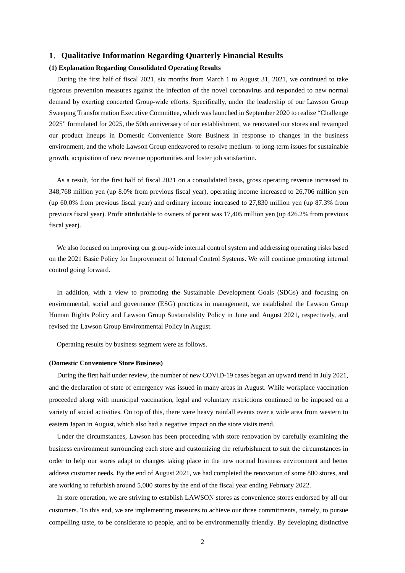# **1**.**Qualitative Information Regarding Quarterly Financial Results**

# **(1) Explanation Regarding Consolidated Operating Results**

During the first half of fiscal 2021, six months from March 1 to August 31, 2021, we continued to take rigorous prevention measures against the infection of the novel coronavirus and responded to new normal demand by exerting concerted Group-wide efforts. Specifically, under the leadership of our Lawson Group Sweeping Transformation Executive Committee, which was launched in September 2020 to realize "Challenge 2025" formulated for 2025, the 50th anniversary of our establishment, we renovated our stores and revamped our product lineups in Domestic Convenience Store Business in response to changes in the business environment, and the whole Lawson Group endeavored to resolve medium- to long-term issues for sustainable growth, acquisition of new revenue opportunities and foster job satisfaction.

As a result, for the first half of fiscal 2021 on a consolidated basis, gross operating revenue increased to 348,768 million yen (up 8.0% from previous fiscal year), operating income increased to 26,706 million yen (up 60.0% from previous fiscal year) and ordinary income increased to 27,830 million yen (up 87.3% from previous fiscal year). Profit attributable to owners of parent was 17,405 million yen (up 426.2% from previous fiscal year).

We also focused on improving our group-wide internal control system and addressing operating risks based on the 2021 Basic Policy for Improvement of Internal Control Systems. We will continue promoting internal control going forward.

In addition, with a view to promoting the Sustainable Development Goals (SDGs) and focusing on environmental, social and governance (ESG) practices in management, we established the Lawson Group Human Rights Policy and Lawson Group Sustainability Policy in June and August 2021, respectively, and revised the Lawson Group Environmental Policy in August.

Operating results by business segment were as follows.

### **(Domestic Convenience Store Business)**

During the first half under review, the number of new COVID-19 cases began an upward trend in July 2021, and the declaration of state of emergency was issued in many areas in August. While workplace vaccination proceeded along with municipal vaccination, legal and voluntary restrictions continued to be imposed on a variety of social activities. On top of this, there were heavy rainfall events over a wide area from western to eastern Japan in August, which also had a negative impact on the store visits trend.

Under the circumstances, Lawson has been proceeding with store renovation by carefully examining the business environment surrounding each store and customizing the refurbishment to suit the circumstances in order to help our stores adapt to changes taking place in the new normal business environment and better address customer needs. By the end of August 2021, we had completed the renovation of some 800 stores, and are working to refurbish around 5,000 stores by the end of the fiscal year ending February 2022.

In store operation, we are striving to establish LAWSON stores as convenience stores endorsed by all our customers. To this end, we are implementing measures to achieve our three commitments, namely, to pursue compelling taste, to be considerate to people, and to be environmentally friendly. By developing distinctive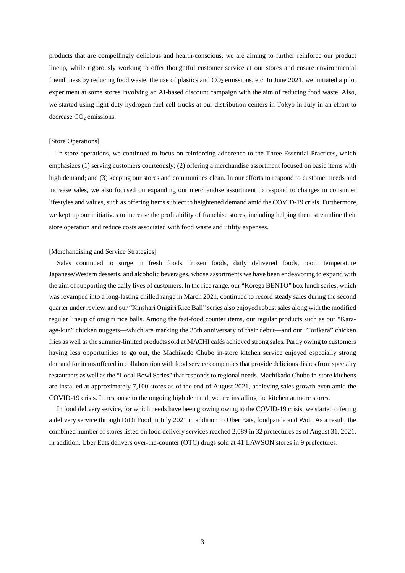products that are compellingly delicious and health-conscious, we are aiming to further reinforce our product lineup, while rigorously working to offer thoughtful customer service at our stores and ensure environmental friendliness by reducing food waste, the use of plastics and  $CO<sub>2</sub>$  emissions, etc. In June 2021, we initiated a pilot experiment at some stores involving an AI-based discount campaign with the aim of reducing food waste. Also, we started using light-duty hydrogen fuel cell trucks at our distribution centers in Tokyo in July in an effort to  $decrease CO<sub>2</sub>$  emissions.

### [Store Operations]

In store operations, we continued to focus on reinforcing adherence to the Three Essential Practices, which emphasizes (1) serving customers courteously; (2) offering a merchandise assortment focused on basic items with high demand; and (3) keeping our stores and communities clean. In our efforts to respond to customer needs and increase sales, we also focused on expanding our merchandise assortment to respond to changes in consumer lifestyles and values, such as offering items subject to heightened demand amid the COVID-19 crisis. Furthermore, we kept up our initiatives to increase the profitability of franchise stores, including helping them streamline their store operation and reduce costs associated with food waste and utility expenses.

### [Merchandising and Service Strategies]

Sales continued to surge in fresh foods, frozen foods, daily delivered foods, room temperature Japanese/Western desserts, and alcoholic beverages, whose assortments we have been endeavoring to expand with the aim of supporting the daily lives of customers. In the rice range, our "Korega BENTO" box lunch series, which was revamped into a long-lasting chilled range in March 2021, continued to record steady sales during the second quarter under review, and our "Kinshari Onigiri Rice Ball" series also enjoyed robust sales along with the modified regular lineup of onigiri rice balls. Among the fast-food counter items, our regular products such as our "Karaage-kun" chicken nuggets—which are marking the 35th anniversary of their debut—and our "Torikara" chicken fries as well as the summer-limited products sold at MACHI cafés achieved strong sales. Partly owing to customers having less opportunities to go out, the Machikado Chubo in-store kitchen service enjoyed especially strong demand for items offered in collaboration with food service companies that provide delicious dishes from specialty restaurants as well as the "Local Bowl Series" that responds to regional needs. Machikado Chubo in-store kitchens are installed at approximately 7,100 stores as of the end of August 2021, achieving sales growth even amid the COVID-19 crisis. In response to the ongoing high demand, we are installing the kitchen at more stores.

In food delivery service, for which needs have been growing owing to the COVID-19 crisis, we started offering a delivery service through DiDi Food in July 2021 in addition to Uber Eats, foodpanda and Wolt. As a result, the combined number of stores listed on food delivery services reached 2,089 in 32 prefectures as of August 31, 2021. In addition, Uber Eats delivers over-the-counter (OTC) drugs sold at 41 LAWSON stores in 9 prefectures.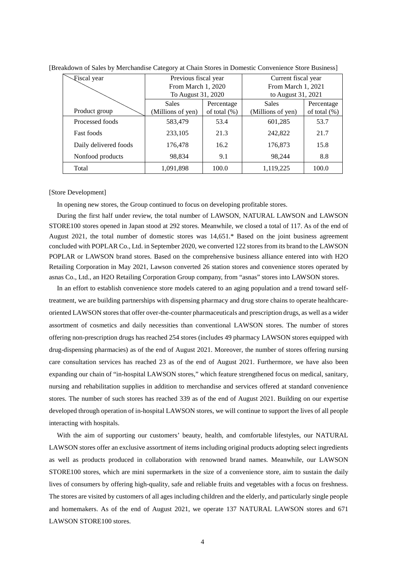| Fiscal year           | Previous fiscal year |                  | Current fiscal year |                 |  |
|-----------------------|----------------------|------------------|---------------------|-----------------|--|
|                       | From March 1, 2020   |                  | From March 1, 2021  |                 |  |
|                       | To August 31, 2020   |                  | to August 31, 2021  |                 |  |
|                       | <b>Sales</b>         | Percentage       | <b>Sales</b>        | Percentage      |  |
| Product group         | (Millions of yen)    | of total $(\% )$ | (Millions of yen)   | of total $(\%)$ |  |
| Processed foods       | 583,479              | 53.4             | 601,285             | 53.7            |  |
| <b>Fast foods</b>     | 233,105              | 21.3             | 242,822             | 21.7            |  |
| Daily delivered foods | 176,478              | 16.2             | 176,873             | 15.8            |  |
| Nonfood products      | 98,834               | 9.1              | 98,244              | 8.8             |  |
| Total                 | 1,091,898            | 100.0            | 1,119,225           | 100.0           |  |

[Breakdown of Sales by Merchandise Category at Chain Stores in Domestic Convenience Store Business]

### [Store Development]

In opening new stores, the Group continued to focus on developing profitable stores.

During the first half under review, the total number of LAWSON, NATURAL LAWSON and LAWSON STORE100 stores opened in Japan stood at 292 stores. Meanwhile, we closed a total of 117. As of the end of August 2021, the total number of domestic stores was 14,651.\* Based on the joint business agreement concluded with POPLAR Co., Ltd. in September 2020, we converted 122 stores from its brand to the LAWSON POPLAR or LAWSON brand stores. Based on the comprehensive business alliance entered into with H2O Retailing Corporation in May 2021, Lawson converted 26 station stores and convenience stores operated by asnas Co., Ltd., an H2O Retailing Corporation Group company, from "asnas" stores into LAWSON stores.

In an effort to establish convenience store models catered to an aging population and a trend toward selftreatment, we are building partnerships with dispensing pharmacy and drug store chains to operate healthcareoriented LAWSON stores that offer over-the-counter pharmaceuticals and prescription drugs, as well as a wider assortment of cosmetics and daily necessities than conventional LAWSON stores. The number of stores offering non-prescription drugs has reached 254 stores (includes 49 pharmacy LAWSON stores equipped with drug-dispensing pharmacies) as of the end of August 2021. Moreover, the number of stores offering nursing care consultation services has reached 23 as of the end of August 2021. Furthermore, we have also been expanding our chain of "in-hospital LAWSON stores," which feature strengthened focus on medical, sanitary, nursing and rehabilitation supplies in addition to merchandise and services offered at standard convenience stores. The number of such stores has reached 339 as of the end of August 2021. Building on our expertise developed through operation of in-hospital LAWSON stores, we will continue to support the lives of all people interacting with hospitals.

With the aim of supporting our customers' beauty, health, and comfortable lifestyles, our NATURAL LAWSON stores offer an exclusive assortment of items including original products adopting select ingredients as well as products produced in collaboration with renowned brand names. Meanwhile, our LAWSON STORE100 stores, which are mini supermarkets in the size of a convenience store, aim to sustain the daily lives of consumers by offering high-quality, safe and reliable fruits and vegetables with a focus on freshness. The stores are visited by customers of all ages including children and the elderly, and particularly single people and homemakers. As of the end of August 2021, we operate 137 NATURAL LAWSON stores and 671 LAWSON STORE100 stores.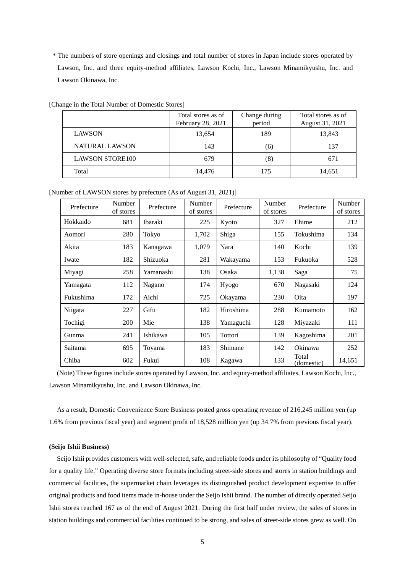\* The numbers of store openings and closings and total number of stores in Japan include stores operated by Lawson, Inc. and three equity-method affiliates, Lawson Kochi, Inc., Lawson Minamikyushu, Inc. and Lawson Okinawa, Inc.

|                        | Total stores as of | Change during | Total stores as of |
|------------------------|--------------------|---------------|--------------------|
|                        | February 28, 2021  | period        | August 31, 2021    |
| <b>LAWSON</b>          | 13,654             | 189           | 13,843             |
| NATURAL LAWSON         | 143                | (6)           | 137                |
| <b>LAWSON STORE100</b> | 679                | (8)           | 671                |
| Total                  | 14,476             | 175           | 14,651             |

[Change in the Total Number of Domestic Stores]

[Number of LAWSON stores by prefecture (As of August 31, 2021)]

| Prefecture | Number<br>of stores | Prefecture | Number<br>of stores | Prefecture | Number<br>of stores | Prefecture          | Number<br>of stores |
|------------|---------------------|------------|---------------------|------------|---------------------|---------------------|---------------------|
| Hokkaido   | 681                 | Ibaraki    | 225                 | Kyoto      | 327                 | Ehime               | 212                 |
| Aomori     | 280                 | Tokyo      | 1,702               | Shiga      | 155                 | Tokushima           | 134                 |
| Akita      | 183                 | Kanagawa   | 1.079               | Nara       | 140                 | Kochi               | 139                 |
| Iwate      | 182                 | Shizuoka   | 281                 | Wakayama   | 153                 | Fukuoka             | 528                 |
| Miyagi     | 258                 | Yamanashi  | 138                 | Osaka      | 1,138               | Saga                | 75                  |
| Yamagata   | 112                 | Nagano     | 174                 | Hyogo      | 670                 | Nagasaki            | 124                 |
| Fukushima  | 172                 | Aichi      | 725                 | Okayama    | 230                 | Oita                | 197                 |
| Niigata    | 227                 | Gifu       | 182                 | Hiroshima  | 288                 | Kumamoto            | 162                 |
| Tochigi    | 200                 | Mie        | 138                 | Yamaguchi  | 128                 | Miyazaki            | 111                 |
| Gunma      | 241                 | Ishikawa   | 105                 | Tottori    | 139                 | Kagoshima           | 201                 |
| Saitama    | 695                 | Toyama     | 183                 | Shimane    | 142                 | Okinawa             | 252                 |
| Chiba      | 602                 | Fukui      | 108                 | Kagawa     | 133                 | Total<br>(domestic) | 14,651              |

(Note) These figures include stores operated by Lawson, Inc. and equity-method affiliates, Lawson Kochi, Inc., Lawson Minamikyushu, Inc. and Lawson Okinawa, Inc.

As a result, Domestic Convenience Store Business posted gross operating revenue of 216,245 million yen (up 1.6% from previous fiscal year) and segment profit of 18,528 million yen (up 34.7% from previous fiscal year).

### **(Seijo Ishii Business)**

Seijo Ishii provides customers with well-selected, safe, and reliable foods under its philosophy of "Quality food for a quality life." Operating diverse store formats including street-side stores and stores in station buildings and commercial facilities, the supermarket chain leverages its distinguished product development expertise to offer original products and food items made in-house under the Seijo Ishii brand. The number of directly operated Seijo Ishii stores reached 167 as of the end of August 2021. During the first half under review, the sales of stores in station buildings and commercial facilities continued to be strong, and sales of street-side stores grew as well. On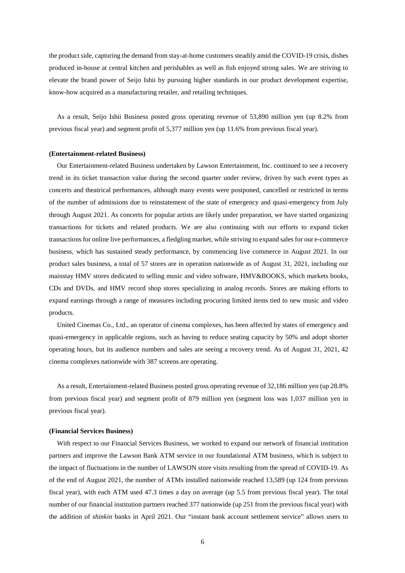the product side, capturing the demand from stay-at-home customers steadily amid the COVID-19 crisis, dishes produced in-house at central kitchen and perishables as well as fish enjoyed strong sales. We are striving to elevate the brand power of Seijo Ishii by pursuing higher standards in our product development expertise, know-how acquired as a manufacturing retailer, and retailing techniques.

As a result, Seijo Ishii Business posted gross operating revenue of 53,890 million yen (up 8.2% from previous fiscal year) and segment profit of 5,377 million yen (up 11.6% from previous fiscal year).

### **(Entertainment-related Business)**

Our Entertainment-related Business undertaken by Lawson Entertainment, Inc. continued to see a recovery trend in its ticket transaction value during the second quarter under review, driven by such event types as concerts and theatrical performances, although many events were postponed, cancelled or restricted in terms of the number of admissions due to reinstatement of the state of emergency and quasi-emergency from July through August 2021. As concerts for popular artists are likely under preparation, we have started organizing transactions for tickets and related products. We are also continuing with our efforts to expand ticket transactions for online live performances, a fledgling market, while striving to expand sales for our e-commerce business, which has sustained steady performance, by commencing live commerce in August 2021. In our product sales business, a total of 57 stores are in operation nationwide as of August 31, 2021, including our mainstay HMV stores dedicated to selling music and video software, HMV&BOOKS, which markets books, CDs and DVDs, and HMV record shop stores specializing in analog records. Stores are making efforts to expand earnings through a range of measures including procuring limited items tied to new music and video products.

United Cinemas Co., Ltd., an operator of cinema complexes, has been affected by states of emergency and quasi-emergency in applicable regions, such as having to reduce seating capacity by 50% and adopt shorter operating hours, but its audience numbers and sales are seeing a recovery trend. As of August 31, 2021, 42 cinema complexes nationwide with 387 screens are operating.

As a result, Entertainment-related Business posted gross operating revenue of 32,186 million yen (up 28.8% from previous fiscal year) and segment profit of 879 million yen (segment loss was 1,037 million yen in previous fiscal year).

### **(Financial Services Business)**

With respect to our Financial Services Business, we worked to expand our network of financial institution partners and improve the Lawson Bank ATM service in our foundational ATM business, which is subject to the impact of fluctuations in the number of LAWSON store visits resulting from the spread of COVID-19. As of the end of August 2021, the number of ATMs installed nationwide reached 13,589 (up 124 from previous fiscal year), with each ATM used 47.3 times a day on average (up 5.5 from previous fiscal year). The total number of our financial institution partners reached 377 nationwide (up 251 from the previous fiscal year) with the addition of *shinkin* banks in April 2021. Our "instant bank account settlement service" allows users to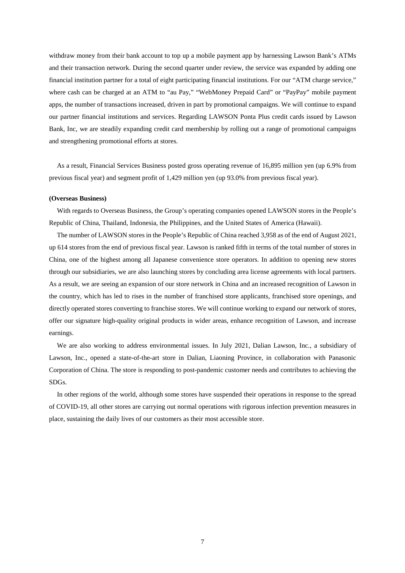withdraw money from their bank account to top up a mobile payment app by harnessing Lawson Bank's ATMs and their transaction network. During the second quarter under review, the service was expanded by adding one financial institution partner for a total of eight participating financial institutions. For our "ATM charge service," where cash can be charged at an ATM to "au Pay," "WebMoney Prepaid Card" or "PayPay" mobile payment apps, the number of transactions increased, driven in part by promotional campaigns. We will continue to expand our partner financial institutions and services. Regarding LAWSON Ponta Plus credit cards issued by Lawson Bank, Inc, we are steadily expanding credit card membership by rolling out a range of promotional campaigns and strengthening promotional efforts at stores.

As a result, Financial Services Business posted gross operating revenue of 16,895 million yen (up 6.9% from previous fiscal year) and segment profit of 1,429 million yen (up 93.0% from previous fiscal year).

### **(Overseas Business)**

With regards to Overseas Business, the Group's operating companies opened LAWSON stores in the People's Republic of China, Thailand, Indonesia, the Philippines, and the United States of America (Hawaii).

The number of LAWSON stores in the People's Republic of China reached 3,958 as of the end of August 2021, up 614 stores from the end of previous fiscal year. Lawson is ranked fifth in terms of the total number of stores in China, one of the highest among all Japanese convenience store operators. In addition to opening new stores through our subsidiaries, we are also launching stores by concluding area license agreements with local partners. As a result, we are seeing an expansion of our store network in China and an increased recognition of Lawson in the country, which has led to rises in the number of franchised store applicants, franchised store openings, and directly operated stores converting to franchise stores. We will continue working to expand our network of stores, offer our signature high-quality original products in wider areas, enhance recognition of Lawson, and increase earnings.

We are also working to address environmental issues. In July 2021, Dalian Lawson, Inc., a subsidiary of Lawson, Inc., opened a state-of-the-art store in Dalian, Liaoning Province, in collaboration with Panasonic Corporation of China. The store is responding to post-pandemic customer needs and contributes to achieving the SDGs.

In other regions of the world, although some stores have suspended their operations in response to the spread of COVID-19, all other stores are carrying out normal operations with rigorous infection prevention measures in place, sustaining the daily lives of our customers as their most accessible store.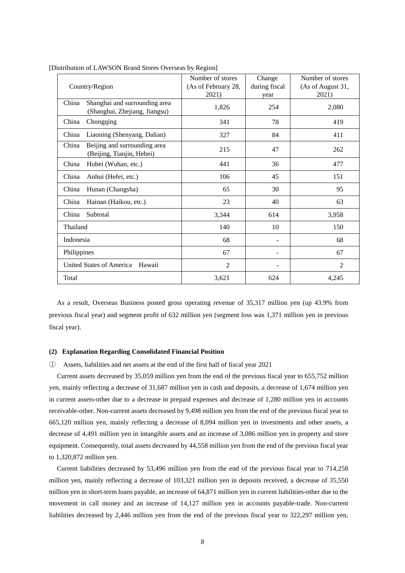| Country/Region                                                          | Number of stores<br>(As of February 28,<br>2021) | Change<br>during fiscal<br>year | Number of stores<br>(As of August 31,<br>2021) |
|-------------------------------------------------------------------------|--------------------------------------------------|---------------------------------|------------------------------------------------|
| Shanghai and surrounding area<br>China<br>(Shanghai, Zhejiang, Jiangsu) | 1,826                                            | 254                             | 2,080                                          |
| China<br>Chongqing                                                      | 341                                              | 78                              | 419                                            |
| Liaoning (Shenyang, Dalian)<br>China                                    | 327                                              | 84                              | 411                                            |
| Beijing and surrounding area<br>China<br>(Beijing, Tianjin, Hebei)      | 215                                              | 47                              | 262                                            |
| Hubei (Wuhan, etc.)<br>China                                            | 441                                              | 36                              | 477                                            |
| Anhui (Hefei, etc.)<br>China                                            | 106                                              | 45                              | 151                                            |
| Hunan (Changsha)<br>China                                               | 65                                               | 30                              | 95                                             |
| Hainan (Haikou, etc.)<br>China                                          | 23                                               | 40                              | 63                                             |
| Subtotal<br>China                                                       | 3,344                                            | 614                             | 3,958                                          |
| Thailand                                                                | 140                                              | 10                              | 150                                            |
| Indonesia                                                               | 68                                               |                                 | 68                                             |
| Philippines                                                             | 67                                               |                                 | 67                                             |
| United States of America<br>Hawaii                                      | $\overline{c}$                                   |                                 | $\overline{2}$                                 |
| Total                                                                   | 3,621                                            | 624                             | 4,245                                          |

[Distribution of LAWSON Brand Stores Overseas by Region]

As a result, Overseas Business posted gross operating revenue of 35,317 million yen (up 43.9% from previous fiscal year) and segment profit of 632 million yen (segment loss was 1,371 million yen in previous fiscal year).

# **(2) Explanation Regarding Consolidated Financial Position**

### ① Assets, liabilities and net assets at the end of the first half of fiscal year 2021

Current assets decreased by 35,059 million yen from the end of the previous fiscal year to 655,752 million yen, mainly reflecting a decrease of 31,687 million yen in cash and deposits, a decrease of 1,674 million yen in current assets-other due to a decrease in prepaid expenses and decrease of 1,280 million yen in accounts receivable-other. Non-current assets decreased by 9,498 million yen from the end of the previous fiscal year to 665,120 million yen, mainly reflecting a decrease of 8,094 million yen in investments and other assets, a decrease of 4,491 million yen in intangible assets and an increase of 3,086 million yen in property and store equipment. Consequently, total assets decreased by 44,558 million yen from the end of the previous fiscal year to 1,320,872 million yen.

Current liabilities decreased by 53,496 million yen from the end of the previous fiscal year to 714,258 million yen, mainly reflecting a decrease of 103,321 million yen in deposits received, a decrease of 35,550 million yen in short-term loans payable, an increase of 64,871 million yen in current liabilities-other due to the movement in call money and an increase of 14,127 million yen in accounts payable-trade. Non-current liabilities decreased by 2,446 million yen from the end of the previous fiscal year to 322,297 million yen,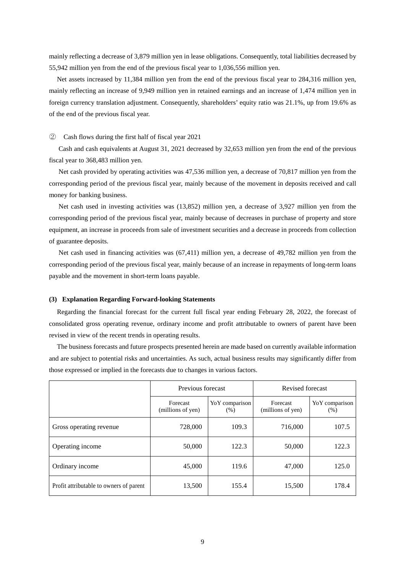mainly reflecting a decrease of 3,879 million yen in lease obligations. Consequently, total liabilities decreased by 55,942 million yen from the end of the previous fiscal year to 1,036,556 million yen.

Net assets increased by 11,384 million yen from the end of the previous fiscal year to 284,316 million yen, mainly reflecting an increase of 9,949 million yen in retained earnings and an increase of 1,474 million yen in foreign currency translation adjustment. Consequently, shareholders' equity ratio was 21.1%, up from 19.6% as of the end of the previous fiscal year.

## ② Cash flows during the first half of fiscal year 2021

Cash and cash equivalents at August 31, 2021 decreased by 32,653 million yen from the end of the previous fiscal year to 368,483 million yen.

Net cash provided by operating activities was 47,536 million yen, a decrease of 70,817 million yen from the corresponding period of the previous fiscal year, mainly because of the movement in deposits received and call money for banking business.

Net cash used in investing activities was (13,852) million yen, a decrease of 3,927 million yen from the corresponding period of the previous fiscal year, mainly because of decreases in purchase of property and store equipment, an increase in proceeds from sale of investment securities and a decrease in proceeds from collection of guarantee deposits.

Net cash used in financing activities was (67,411) million yen, a decrease of 49,782 million yen from the corresponding period of the previous fiscal year, mainly because of an increase in repayments of long-term loans payable and the movement in short-term loans payable.

### **(3) Explanation Regarding Forward-looking Statements**

Regarding the financial forecast for the current full fiscal year ending February 28, 2022, the forecast of consolidated gross operating revenue, ordinary income and profit attributable to owners of parent have been revised in view of the recent trends in operating results.

The business forecasts and future prospects presented herein are made based on currently available information and are subject to potential risks and uncertainties. As such, actual business results may significantly differ from those expressed or implied in the forecasts due to changes in various factors.

|                                         | Previous forecast             |                         | Revised forecast              |                        |
|-----------------------------------------|-------------------------------|-------------------------|-------------------------------|------------------------|
|                                         | Forecast<br>(millions of yen) | Yo Y comparison<br>(% ) | Forecast<br>(millions of yen) | YoY comparison<br>(% ) |
| Gross operating revenue                 | 728,000                       | 109.3                   | 716,000                       | 107.5                  |
| Operating income                        | 50,000                        | 122.3                   | 50,000                        | 122.3                  |
| Ordinary income                         | 45,000                        | 119.6                   | 47,000                        | 125.0                  |
| Profit attributable to owners of parent | 13,500                        | 155.4                   | 15,500                        | 178.4                  |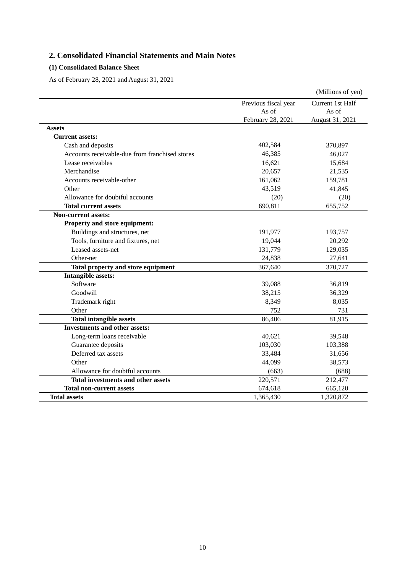# **2. Consolidated Financial Statements and Main Notes**

# **(1) Consolidated Balance Sheet**

As of February 28, 2021 and August 31, 2021

|                                                |                      | (Millions of yen) |
|------------------------------------------------|----------------------|-------------------|
|                                                | Previous fiscal year | Current 1st Half  |
|                                                | As of                | As of             |
|                                                | February 28, 2021    | August 31, 2021   |
| <b>Assets</b>                                  |                      |                   |
| <b>Current assets:</b>                         |                      |                   |
| Cash and deposits                              | 402,584              | 370,897           |
| Accounts receivable-due from franchised stores | 46,385               | 46,027            |
| Lease receivables                              | 16,621               | 15,684            |
| Merchandise                                    | 20,657               | 21,535            |
| Accounts receivable-other                      | 161,062              | 159,781           |
| Other                                          | 43,519               | 41,845            |
| Allowance for doubtful accounts                | (20)                 | (20)              |
| <b>Total current assets</b>                    | 690,811              | 655,752           |
| <b>Non-current assets:</b>                     |                      |                   |
| Property and store equipment:                  |                      |                   |
| Buildings and structures, net                  | 191,977              | 193,757           |
| Tools, furniture and fixtures, net             | 19,044               | 20,292            |
| Leased assets-net                              | 131,779              | 129,035           |
| Other-net                                      | 24,838               | 27,641            |
| Total property and store equipment             | 367,640              | 370,727           |
| <b>Intangible assets:</b>                      |                      |                   |
| Software                                       | 39,088               | 36,819            |
| Goodwill                                       | 38,215               | 36,329            |
| Trademark right                                | 8,349                | 8,035             |
| Other                                          | 752                  | 731               |
| <b>Total intangible assets</b>                 | 86,406               | 81,915            |
| <b>Investments and other assets:</b>           |                      |                   |
| Long-term loans receivable                     | 40,621               | 39,548            |
| Guarantee deposits                             | 103,030              | 103,388           |
| Deferred tax assets                            | 33,484               | 31,656            |
| Other                                          | 44,099               | 38,573            |
| Allowance for doubtful accounts                | (663)                | (688)             |
| Total investments and other assets             | 220,571              | 212,477           |
| <b>Total non-current assets</b>                | 674,618              | 665,120           |
| <b>Total assets</b>                            | 1,365,430            | 1,320,872         |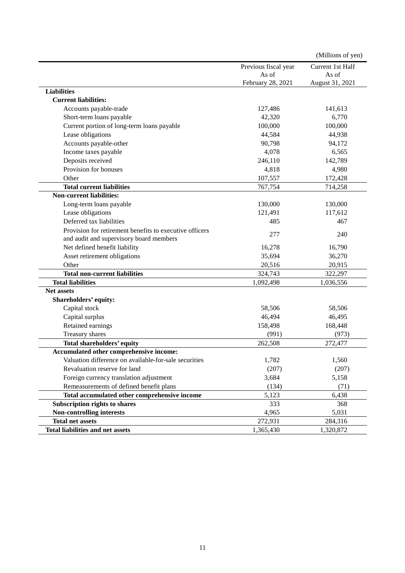|                                                         |                      | (Millions of yen) |
|---------------------------------------------------------|----------------------|-------------------|
|                                                         | Previous fiscal year | Current 1st Half  |
|                                                         | As of                | As of             |
|                                                         | February 28, 2021    | August 31, 2021   |
| <b>Liabilities</b>                                      |                      |                   |
| <b>Current liabilities:</b>                             |                      |                   |
| Accounts payable-trade                                  | 127,486              | 141,613           |
| Short-term loans payable                                | 42,320               | 6,770             |
| Current portion of long-term loans payable              | 100,000              | 100,000           |
| Lease obligations                                       | 44,584               | 44,938            |
| Accounts payable-other                                  | 90,798               | 94,172            |
| Income taxes payable                                    | 4,078                | 6,565             |
| Deposits received                                       | 246,110              | 142,789           |
| Provision for bonuses                                   | 4,818                | 4,980             |
| Other                                                   | 107,557              | 172,428           |
| <b>Total current liabilities</b>                        | 767,754              | 714,258           |
| <b>Non-current liabilities:</b>                         |                      |                   |
| Long-term loans payable                                 | 130,000              | 130,000           |
| Lease obligations                                       | 121,491              | 117,612           |
| Deferred tax liabilities                                | 485                  | 467               |
| Provision for retirement benefits to executive officers |                      |                   |
| and audit and supervisory board members                 | 277                  | 240               |
| Net defined benefit liability                           | 16,278               | 16,790            |
| Asset retirement obligations                            | 35,694               | 36,270            |
| Other                                                   | 20,516               | 20,915            |
| <b>Total non-current liabilities</b>                    | 324,743              | 322,297           |
| <b>Total liabilities</b>                                | 1,092,498            | 1,036,556         |
| <b>Net assets</b>                                       |                      |                   |
| Shareholders' equity:                                   |                      |                   |
| Capital stock                                           | 58,506               | 58,506            |
| Capital surplus                                         | 46,494               | 46,495            |
| Retained earnings                                       | 158,498              | 168,448           |
| Treasury shares                                         | (991)                | (973)             |
| <b>Total shareholders' equity</b>                       | 262,508              | 272,477           |
| Accumulated other comprehensive income:                 |                      |                   |
| Valuation difference on available-for-sale securities   | 1,782                | 1,560             |
| Revaluation reserve for land                            | (207)                | (207)             |
| Foreign currency translation adjustment                 | 3,684                | 5,158             |
| Remeasurements of defined benefit plans                 | (134)                | (71)              |
| Total accumulated other comprehensive income            | 5,123                | 6,438             |
| Subscription rights to shares                           | 333                  | 368               |
| Non-controlling interests                               | 4,965                | 5,031             |
| <b>Total net assets</b>                                 | 272,931              | 284,316           |
| <b>Total liabilities and net assets</b>                 | 1,365,430            | 1,320,872         |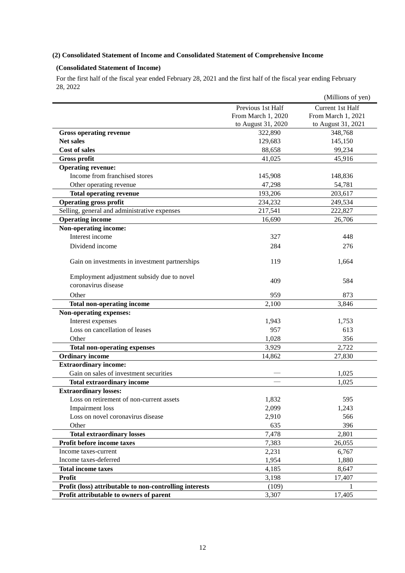# **(2) Consolidated Statement of Income and Consolidated Statement of Comprehensive Income**

# **(Consolidated Statement of Income)**

For the first half of the fiscal year ended February 28, 2021 and the first half of the fiscal year ending February 28, 2022

|                                                         |                    | (Millions of yen)  |
|---------------------------------------------------------|--------------------|--------------------|
|                                                         | Previous 1st Half  | Current 1st Half   |
|                                                         | From March 1, 2020 | From March 1, 2021 |
|                                                         | to August 31, 2020 | to August 31, 2021 |
| <b>Gross operating revenue</b>                          | 322,890            | 348,768            |
| <b>Net sales</b>                                        | 129,683            | 145,150            |
| <b>Cost of sales</b>                                    | 88,658             | 99,234             |
| <b>Gross profit</b>                                     | 41,025             | 45,916             |
| <b>Operating revenue:</b>                               |                    |                    |
| Income from franchised stores                           | 145,908            | 148,836            |
| Other operating revenue                                 | 47,298             | 54,781             |
| <b>Total operating revenue</b>                          | 193,206            | 203,617            |
| <b>Operating gross profit</b>                           | 234,232            | 249,534            |
| Selling, general and administrative expenses            | 217,541            | 222,827            |
| <b>Operating income</b>                                 | 16,690             | 26,706             |
| Non-operating income:                                   |                    |                    |
| Interest income                                         | 327                | 448                |
| Dividend income                                         | 284                | 276                |
|                                                         |                    |                    |
| Gain on investments in investment partnerships          | 119                | 1,664              |
| Employment adjustment subsidy due to novel              | 409                | 584                |
| coronavirus disease                                     |                    |                    |
| Other                                                   | 959                | 873                |
| <b>Total non-operating income</b>                       | 2,100              | 3,846              |
| Non-operating expenses:                                 |                    |                    |
| Interest expenses                                       | 1,943              | 1,753              |
| Loss on cancellation of leases                          | 957                | 613                |
| Other                                                   | 1,028              | 356                |
| <b>Total non-operating expenses</b>                     | 3,929              | 2,722              |
| <b>Ordinary income</b>                                  | 14,862             | 27,830             |
| <b>Extraordinary income:</b>                            |                    |                    |
| Gain on sales of investment securities                  |                    | 1,025              |
| <b>Total extraordinary income</b>                       |                    | 1.025              |
| <b>Extraordinary losses:</b>                            |                    |                    |
| Loss on retirement of non-current assets                | 1,832              | 595                |
| Impairment loss                                         | 2,099              | 1,243              |
| Loss on novel coronavirus disease                       | 2,910              | 566                |
| Other                                                   | 635                | 396                |
| <b>Total extraordinary losses</b>                       | 7,478              | 2,801              |
| Profit before income taxes                              | 7,383              | 26,055             |
| Income taxes-current                                    | 2,231              | 6,767              |
| Income taxes-deferred                                   | 1,954              | 1,880              |
| <b>Total income taxes</b>                               | 4,185              | 8,647              |
| Profit                                                  | 3,198              | 17,407             |
| Profit (loss) attributable to non-controlling interests | (109)              |                    |
| Profit attributable to owners of parent                 | 3,307              | 17,405             |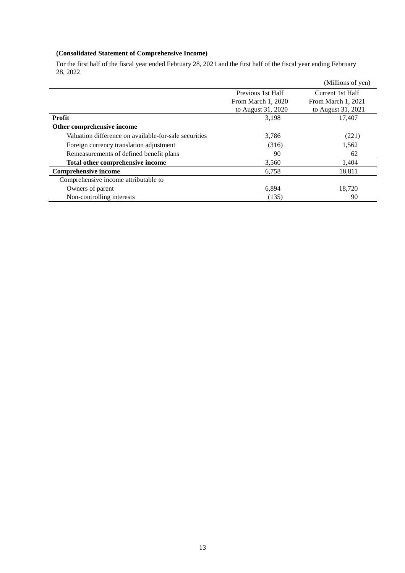# **(Consolidated Statement of Comprehensive Income)**

For the first half of the fiscal year ended February 28, 2021 and the first half of the fiscal year ending February 28, 2022

|                                                       |                    | (Millions of yen)  |
|-------------------------------------------------------|--------------------|--------------------|
|                                                       | Previous 1st Half  | Current 1st Half   |
|                                                       | From March 1, 2020 | From March 1, 2021 |
|                                                       | to August 31, 2020 | to August 31, 2021 |
| Profit                                                | 3,198              | 17,407             |
| Other comprehensive income                            |                    |                    |
| Valuation difference on available-for-sale securities | 3,786              | (221)              |
| Foreign currency translation adjustment               | (316)              | 1,562              |
| Remeasurements of defined benefit plans               | 90                 | 62                 |
| Total other comprehensive income                      | 3,560              | 1,404              |
| <b>Comprehensive income</b>                           | 6,758              | 18,811             |
| Comprehensive income attributable to                  |                    |                    |
| Owners of parent                                      | 6,894              | 18,720             |
| Non-controlling interests                             | (135)              | 90                 |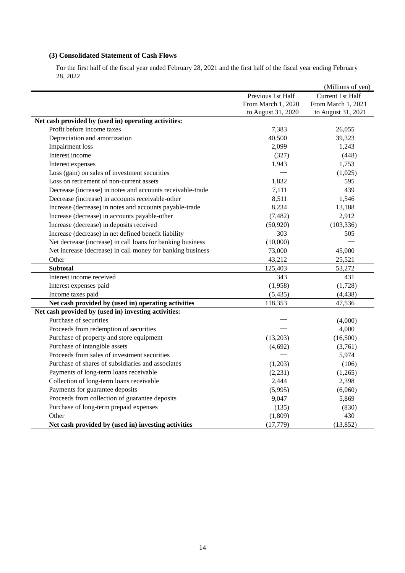# **(3) Consolidated Statement of Cash Flows**

For the first half of the fiscal year ended February 28, 2021 and the first half of the fiscal year ending February 28, 2022

|                                                            |                    | (Millions of yen)  |
|------------------------------------------------------------|--------------------|--------------------|
|                                                            | Previous 1st Half  | Current 1st Half   |
|                                                            | From March 1, 2020 | From March 1, 2021 |
|                                                            | to August 31, 2020 | to August 31, 2021 |
| Net cash provided by (used in) operating activities:       |                    |                    |
| Profit before income taxes                                 | 7,383              | 26,055             |
| Depreciation and amortization                              | 40,500             | 39,323             |
| Impairment loss                                            | 2,099              | 1,243              |
| Interest income                                            | (327)              | (448)              |
| Interest expenses                                          | 1,943              | 1,753              |
| Loss (gain) on sales of investment securities              |                    | (1,025)            |
| Loss on retirement of non-current assets                   | 1,832              | 595                |
| Decrease (increase) in notes and accounts receivable-trade | 7,111              | 439                |
| Decrease (increase) in accounts receivable-other           | 8,511              | 1,546              |
| Increase (decrease) in notes and accounts payable-trade    | 8,234              | 13,188             |
| Increase (decrease) in accounts payable-other              | (7, 482)           | 2,912              |
| Increase (decrease) in deposits received                   | (50, 920)          | (103, 336)         |
| Increase (decrease) in net defined benefit liability       | 303                | 505                |
| Net decrease (increase) in call loans for banking business | (10,000)           |                    |
| Net increase (decrease) in call money for banking business | 73,000             | 45,000             |
| Other                                                      | 43,212             | 25,521             |
| <b>Subtotal</b>                                            | 125,403            | 53,272             |
| Interest income received                                   | 343                | 431                |
| Interest expenses paid                                     | (1,958)            | (1,728)            |
| Income taxes paid                                          | (5, 435)           | (4, 438)           |
| Net cash provided by (used in) operating activities        | 118,353            | 47,536             |
| Net cash provided by (used in) investing activities:       |                    |                    |
| Purchase of securities                                     |                    | (4,000)            |
| Proceeds from redemption of securities                     |                    | 4,000              |
| Purchase of property and store equipment                   | (13,203)           | (16,500)           |
| Purchase of intangible assets                              | (4,692)            | (3,761)            |
| Proceeds from sales of investment securities               |                    | 5,974              |
| Purchase of shares of subsidiaries and associates          | (1,203)            | (106)              |
| Payments of long-term loans receivable                     | (2,231)            | (1,265)            |
| Collection of long-term loans receivable                   | 2,444              | 2,398              |
| Payments for guarantee deposits                            | (5,995)            | (6,060)            |
| Proceeds from collection of guarantee deposits             | 9,047              | 5,869              |
| Purchase of long-term prepaid expenses                     | (135)              | (830)              |
| Other                                                      | (1,809)            | 430                |
| Net cash provided by (used in) investing activities        | (17, 779)          | (13, 852)          |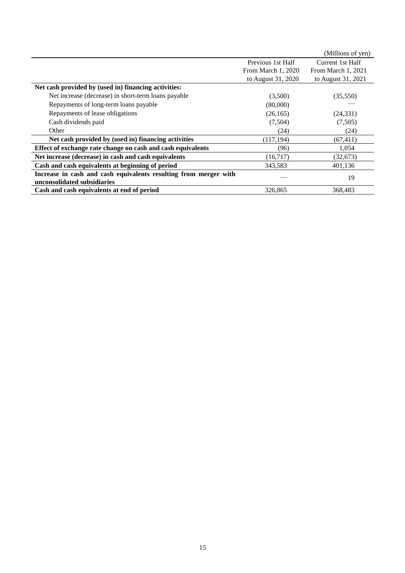|                                                                  |                    | (Millions of yen)  |
|------------------------------------------------------------------|--------------------|--------------------|
|                                                                  | Previous 1st Half  | Current 1st Half   |
|                                                                  | From March 1, 2020 | From March 1, 2021 |
|                                                                  | to August 31, 2020 | to August 31, 2021 |
| Net cash provided by (used in) financing activities:             |                    |                    |
| Net increase (decrease) in short-term loans payable              | (3,500)            | (35,550)           |
| Repayments of long-term loans payable                            | (80,000)           |                    |
| Repayments of lease obligations                                  | (26, 165)          | (24, 331)          |
| Cash dividends paid                                              | (7,504)            | (7,505)            |
| Other                                                            | (24)               | (24)               |
| Net cash provided by (used in) financing activities              | (117, 194)         | (67, 411)          |
| Effect of exchange rate change on cash and cash equivalents      | (96)               | 1,054              |
| Net increase (decrease) in cash and cash equivalents             | (16, 717)          | (32,673)           |
| Cash and cash equivalents at beginning of period                 | 343,583            | 401,136            |
| Increase in cash and cash equivalents resulting from merger with |                    | 19                 |
| unconsolidated subsidiaries                                      |                    |                    |
| Cash and cash equivalents at end of period                       | 326,865            | 368,483            |